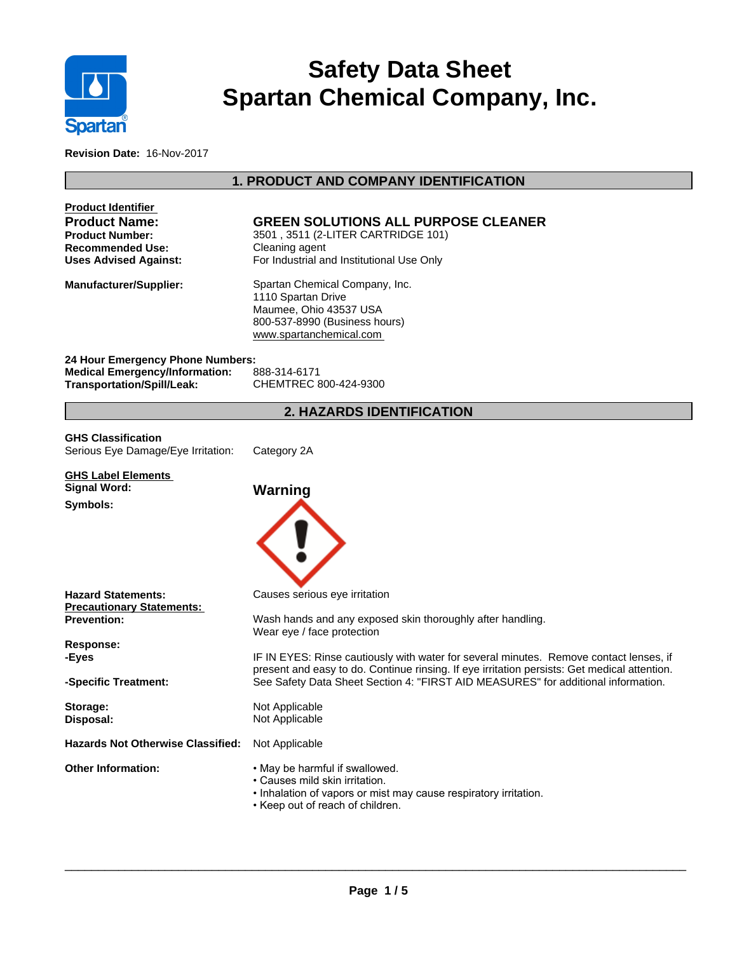

# **Safety Data Sheet Spartan Chemical Company, Inc.**

**Revision Date:** 16-Nov-2017

# **1. PRODUCT AND COMPANY IDENTIFICATION**

| <b>Product Identifier</b>                                                                                      |                                                                                                                                                                                   |
|----------------------------------------------------------------------------------------------------------------|-----------------------------------------------------------------------------------------------------------------------------------------------------------------------------------|
| <b>Product Name:</b>                                                                                           | <b>GREEN SOLUTIONS ALL PURPOSE CLEANER</b>                                                                                                                                        |
| <b>Product Number:</b><br><b>Recommended Use:</b>                                                              | 3501, 3511 (2-LITER CARTRIDGE 101)<br>Cleaning agent                                                                                                                              |
| <b>Uses Advised Against:</b>                                                                                   | For Industrial and Institutional Use Only                                                                                                                                         |
| <b>Manufacturer/Supplier:</b>                                                                                  | Spartan Chemical Company, Inc.<br>1110 Spartan Drive<br>Maumee, Ohio 43537 USA<br>800-537-8990 (Business hours)<br>www.spartanchemical.com                                        |
| 24 Hour Emergency Phone Numbers:<br><b>Medical Emergency/Information:</b><br><b>Transportation/Spill/Leak:</b> | 888-314-6171<br>CHEMTREC 800-424-9300                                                                                                                                             |
|                                                                                                                | <b>2. HAZARDS IDENTIFICATION</b>                                                                                                                                                  |
| <b>GHS Classification</b><br>Serious Eye Damage/Eye Irritation:                                                | Category 2A                                                                                                                                                                       |
|                                                                                                                |                                                                                                                                                                                   |
| <b>GHS Label Elements</b><br><b>Signal Word:</b>                                                               |                                                                                                                                                                                   |
| Symbols:                                                                                                       | Warning                                                                                                                                                                           |
| <b>Hazard Statements:</b><br><b>Precautionary Statements:</b><br><b>Prevention:</b>                            | Causes serious eye irritation<br>Wash hands and any exposed skin thoroughly after handling.<br>Wear eye / face protection                                                         |
| Response:<br>-Eyes                                                                                             | IF IN EYES: Rinse cautiously with water for several minutes. Remove contact lenses, if                                                                                            |
| -Specific Treatment:                                                                                           | present and easy to do. Continue rinsing. If eye irritation persists: Get medical attention.<br>See Safety Data Sheet Section 4: "FIRST AID MEASURES" for additional information. |
| Storage:<br>Disposal:                                                                                          | Not Applicable<br>Not Applicable                                                                                                                                                  |
| <b>Hazards Not Otherwise Classified:</b>                                                                       | Not Applicable                                                                                                                                                                    |
| <b>Other Information:</b>                                                                                      | • May be harmful if swallowed.<br>• Causes mild skin irritation.<br>• Inhalation of vapors or mist may cause respiratory irritation.<br>• Keep out of reach of children.          |

 $\overline{\phantom{a}}$  ,  $\overline{\phantom{a}}$  ,  $\overline{\phantom{a}}$  ,  $\overline{\phantom{a}}$  ,  $\overline{\phantom{a}}$  ,  $\overline{\phantom{a}}$  ,  $\overline{\phantom{a}}$  ,  $\overline{\phantom{a}}$  ,  $\overline{\phantom{a}}$  ,  $\overline{\phantom{a}}$  ,  $\overline{\phantom{a}}$  ,  $\overline{\phantom{a}}$  ,  $\overline{\phantom{a}}$  ,  $\overline{\phantom{a}}$  ,  $\overline{\phantom{a}}$  ,  $\overline{\phantom{a}}$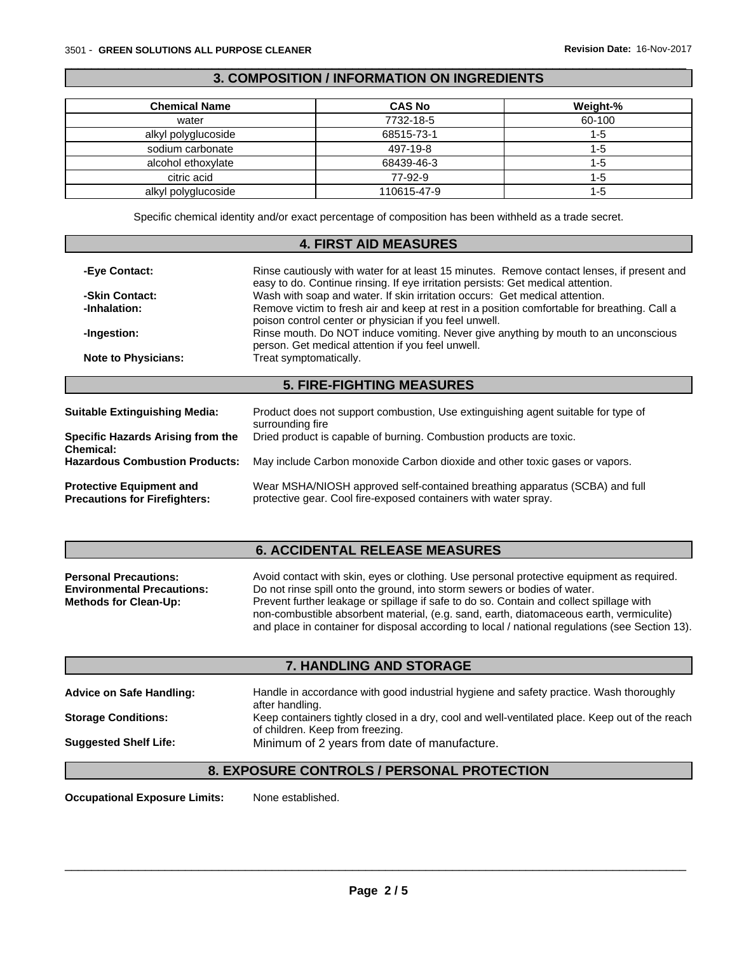### **3. COMPOSITION / INFORMATION ON INGREDIENTS**

 $\overline{\phantom{a}}$  ,  $\overline{\phantom{a}}$  ,  $\overline{\phantom{a}}$  ,  $\overline{\phantom{a}}$  ,  $\overline{\phantom{a}}$  ,  $\overline{\phantom{a}}$  ,  $\overline{\phantom{a}}$  ,  $\overline{\phantom{a}}$  ,  $\overline{\phantom{a}}$  ,  $\overline{\phantom{a}}$  ,  $\overline{\phantom{a}}$  ,  $\overline{\phantom{a}}$  ,  $\overline{\phantom{a}}$  ,  $\overline{\phantom{a}}$  ,  $\overline{\phantom{a}}$  ,  $\overline{\phantom{a}}$ 

| <b>Chemical Name</b> | <b>CAS No</b> | Weight-% |
|----------------------|---------------|----------|
| water                | 7732-18-5     | 60-100   |
| alkyl polyglucoside  | 68515-73-1    | 1-5      |
| sodium carbonate     | 497-19-8      | 1-5      |
| alcohol ethoxylate   | 68439-46-3    | 1-5      |
| citric acid          | 77-92-9       | 1-5      |
| alkyl polyglucoside  | 110615-47-9   | 1-5      |

Specific chemical identity and/or exact percentage of composition has been withheld as a trade secret.

### **4. FIRST AID MEASURES**

| -Eye Contact:                                                                                                                                           | Rinse cautiously with water for at least 15 minutes. Remove contact lenses, if present and<br>easy to do. Continue rinsing. If eye irritation persists: Get medical attention.                                                                       |  |  |  |  |
|---------------------------------------------------------------------------------------------------------------------------------------------------------|------------------------------------------------------------------------------------------------------------------------------------------------------------------------------------------------------------------------------------------------------|--|--|--|--|
| -Skin Contact:                                                                                                                                          | Wash with soap and water. If skin irritation occurs: Get medical attention.<br>Remove victim to fresh air and keep at rest in a position comfortable for breathing. Call a<br>-Inhalation:<br>poison control center or physician if you feel unwell. |  |  |  |  |
|                                                                                                                                                         |                                                                                                                                                                                                                                                      |  |  |  |  |
| Rinse mouth. Do NOT induce vomiting. Never give anything by mouth to an unconscious<br>-Ingestion:<br>person. Get medical attention if you feel unwell. |                                                                                                                                                                                                                                                      |  |  |  |  |
| <b>Note to Physicians:</b>                                                                                                                              | Treat symptomatically.                                                                                                                                                                                                                               |  |  |  |  |
|                                                                                                                                                         | <b>5. FIRE-FIGHTING MEASURES</b>                                                                                                                                                                                                                     |  |  |  |  |
| <b>Suitable Extinguishing Media:</b>                                                                                                                    | Product does not support combustion, Use extinguishing agent suitable for type of                                                                                                                                                                    |  |  |  |  |
|                                                                                                                                                         | surrounding fire                                                                                                                                                                                                                                     |  |  |  |  |
| Specific Hazards Arising from the<br>Chemical:                                                                                                          | Dried product is capable of burning. Combustion products are toxic.                                                                                                                                                                                  |  |  |  |  |
| <b>Hazardous Combustion Products:</b>                                                                                                                   | May include Carbon monoxide Carbon dioxide and other toxic gases or vapors.                                                                                                                                                                          |  |  |  |  |
| Desta atlesa. Escritores anti-an di                                                                                                                     | $M_{\rm{out}}$ MCHA/MOCH opproved self-contained broothing opporatus $(\overline{CCDA})$ and full                                                                                                                                                    |  |  |  |  |

**Protective Equipment and Precautions for Firefighters:** Wear MSHA/NIOSH approved self-contained breathing apparatus (SCBA) and full protective gear. Cool fire-exposed containers with water spray.

# **6. ACCIDENTAL RELEASE MEASURES**

| <b>Personal Precautions:</b>      | Avoid contact with skin, eyes or clothing. Use personal protective equipment as required.       |
|-----------------------------------|-------------------------------------------------------------------------------------------------|
| <b>Environmental Precautions:</b> | Do not rinse spill onto the ground, into storm sewers or bodies of water.                       |
| <b>Methods for Clean-Up:</b>      | Prevent further leakage or spillage if safe to do so. Contain and collect spillage with         |
|                                   | non-combustible absorbent material, (e.g. sand, earth, diatomaceous earth, vermiculite)         |
|                                   | and place in container for disposal according to local / national regulations (see Section 13). |

# **7. HANDLING AND STORAGE**

| <b>Advice on Safe Handling:</b> | Handle in accordance with good industrial hygiene and safety practice. Wash thoroughly<br>after handling.                          |
|---------------------------------|------------------------------------------------------------------------------------------------------------------------------------|
| <b>Storage Conditions:</b>      | Keep containers tightly closed in a dry, cool and well-ventilated place. Keep out of the reach<br>of children. Keep from freezing. |
| <b>Suggested Shelf Life:</b>    | Minimum of 2 years from date of manufacture.                                                                                       |

# **8. EXPOSURE CONTROLS / PERSONAL PROTECTION**

**Occupational Exposure Limits:** None established.

 $\overline{\phantom{a}}$  ,  $\overline{\phantom{a}}$  ,  $\overline{\phantom{a}}$  ,  $\overline{\phantom{a}}$  ,  $\overline{\phantom{a}}$  ,  $\overline{\phantom{a}}$  ,  $\overline{\phantom{a}}$  ,  $\overline{\phantom{a}}$  ,  $\overline{\phantom{a}}$  ,  $\overline{\phantom{a}}$  ,  $\overline{\phantom{a}}$  ,  $\overline{\phantom{a}}$  ,  $\overline{\phantom{a}}$  ,  $\overline{\phantom{a}}$  ,  $\overline{\phantom{a}}$  ,  $\overline{\phantom{a}}$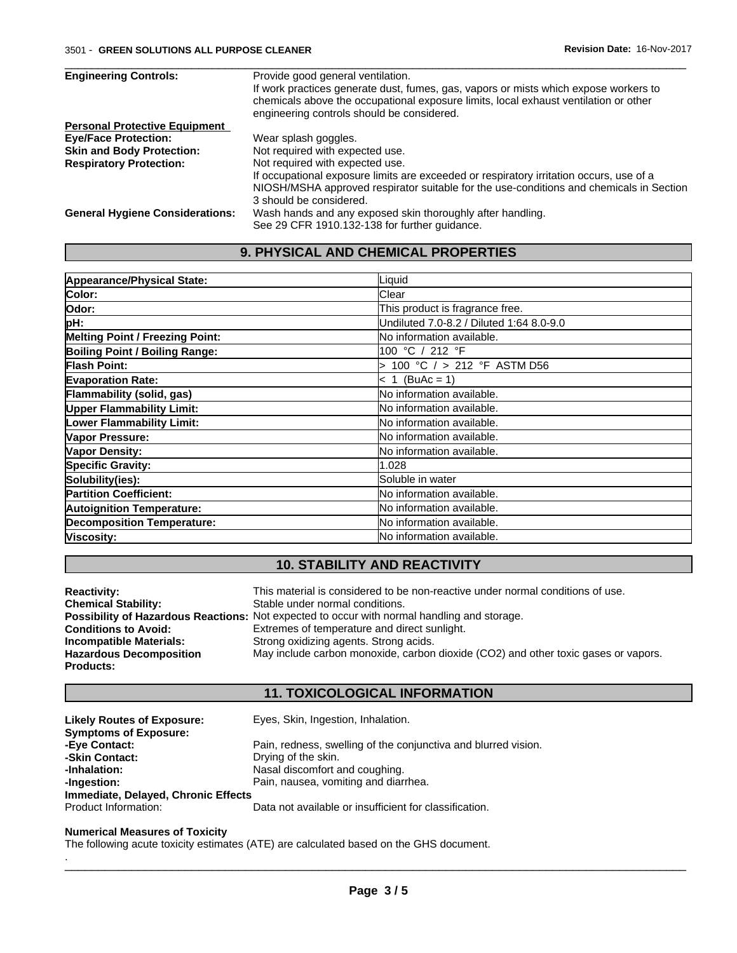| <b>Engineering Controls:</b>           | Provide good general ventilation.                                                       |
|----------------------------------------|-----------------------------------------------------------------------------------------|
|                                        | If work practices generate dust, fumes, gas, vapors or mists which expose workers to    |
|                                        | chemicals above the occupational exposure limits, local exhaust ventilation or other    |
|                                        | engineering controls should be considered.                                              |
| <b>Personal Protective Equipment</b>   |                                                                                         |
| <b>Eye/Face Protection:</b>            | Wear splash goggles.                                                                    |
| <b>Skin and Body Protection:</b>       | Not required with expected use.                                                         |
| <b>Respiratory Protection:</b>         | Not required with expected use.                                                         |
|                                        | If occupational exposure limits are exceeded or respiratory irritation occurs, use of a |
|                                        | NIOSH/MSHA approved respirator suitable for the use-conditions and chemicals in Section |
|                                        | 3 should be considered.                                                                 |
| <b>General Hygiene Considerations:</b> | Wash hands and any exposed skin thoroughly after handling.                              |
|                                        | See 29 CFR 1910.132-138 for further guidance.                                           |

 $\overline{\phantom{a}}$  ,  $\overline{\phantom{a}}$  ,  $\overline{\phantom{a}}$  ,  $\overline{\phantom{a}}$  ,  $\overline{\phantom{a}}$  ,  $\overline{\phantom{a}}$  ,  $\overline{\phantom{a}}$  ,  $\overline{\phantom{a}}$  ,  $\overline{\phantom{a}}$  ,  $\overline{\phantom{a}}$  ,  $\overline{\phantom{a}}$  ,  $\overline{\phantom{a}}$  ,  $\overline{\phantom{a}}$  ,  $\overline{\phantom{a}}$  ,  $\overline{\phantom{a}}$  ,  $\overline{\phantom{a}}$ 

# **9. PHYSICAL AND CHEMICAL PROPERTIES**

| Appearance/Physical State:             | Liquid                                   |
|----------------------------------------|------------------------------------------|
| Color:                                 | <b>Clear</b>                             |
| Odor:                                  | This product is fragrance free.          |
| pH:                                    | Undiluted 7.0-8.2 / Diluted 1:64 8.0-9.0 |
| <b>Melting Point / Freezing Point:</b> | No information available.                |
| <b>Boiling Point / Boiling Range:</b>  | 100 °C / 212 °F                          |
| <b>Flash Point:</b>                    | 100 °C / > 212 °F ASTM D56               |
| <b>Evaporation Rate:</b>               | $< 1$ (BuAc = 1)                         |
| Flammability (solid, gas)              | No information available.                |
| <b>Upper Flammability Limit:</b>       | No information available.                |
| <b>Lower Flammability Limit:</b>       | No information available.                |
| Vapor Pressure:                        | No information available.                |
| <b>Vapor Density:</b>                  | No information available.                |
| <b>Specific Gravity:</b>               | 1.028                                    |
| Solubility(ies):                       | Soluble in water                         |
| <b>Partition Coefficient:</b>          | No information available.                |
| <b>Autoignition Temperature:</b>       | No information available.                |
| <b>Decomposition Temperature:</b>      | No information available.                |
| Viscosity:                             | <b>INo information available.</b>        |

# **10. STABILITY AND REACTIVITY**

| <b>Reactivity:</b>             | This material is considered to be non-reactive under normal conditions of use.                     |
|--------------------------------|----------------------------------------------------------------------------------------------------|
| <b>Chemical Stability:</b>     | Stable under normal conditions.                                                                    |
|                                | <b>Possibility of Hazardous Reactions:</b> Not expected to occur with normal handling and storage. |
| <b>Conditions to Avoid:</b>    | Extremes of temperature and direct sunlight.                                                       |
| <b>Incompatible Materials:</b> | Strong oxidizing agents. Strong acids.                                                             |
| <b>Hazardous Decomposition</b> | May include carbon monoxide, carbon dioxide (CO2) and other toxic gases or vapors.                 |
| <b>Products:</b>               |                                                                                                    |

# **11. TOXICOLOGICAL INFORMATION**

| <b>Likely Routes of Exposure:</b>   | Eyes, Skin, Ingestion, Inhalation.                             |
|-------------------------------------|----------------------------------------------------------------|
| <b>Symptoms of Exposure:</b>        |                                                                |
| -Eye Contact:                       | Pain, redness, swelling of the conjunctiva and blurred vision. |
| -Skin Contact:                      | Drying of the skin.                                            |
| -Inhalation:                        | Nasal discomfort and coughing.                                 |
| -Ingestion:                         | Pain, nausea, vomiting and diarrhea.                           |
| Immediate, Delayed, Chronic Effects |                                                                |
| Product Information:                | Data not available or insufficient for classification.         |

#### **Numerical Measures of Toxicity**

The following acute toxicity estimates (ATE) are calculated based on the GHS document.

.\_\_\_\_\_\_\_\_\_\_\_\_\_\_\_\_\_\_\_\_\_\_\_\_\_\_\_\_\_\_\_\_\_\_\_\_\_\_\_\_\_\_\_\_\_\_\_\_\_\_\_\_\_\_\_\_\_\_\_\_\_\_\_\_\_\_\_\_\_\_\_\_\_\_\_\_\_\_\_\_\_\_\_\_\_\_\_\_\_\_\_\_\_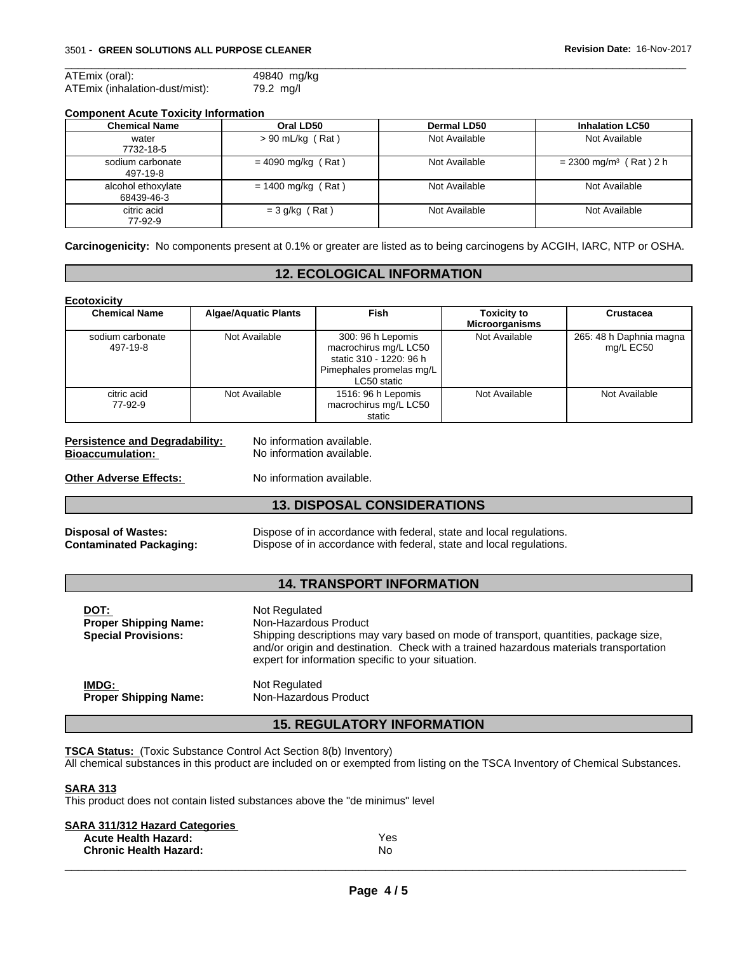| ATEmix (oral):                 | 49840 mg/kg |
|--------------------------------|-------------|
| ATEmix (inhalation-dust/mist): | 79.2 mg/l   |

### **Component Acute Toxicity Information**

| <b>Chemical Name</b>             | Oral LD50            | Dermal LD50   | <b>Inhalation LC50</b>               |
|----------------------------------|----------------------|---------------|--------------------------------------|
| water<br>7732-18-5               | $> 90$ mL/kg (Rat)   | Not Available | Not Available                        |
| sodium carbonate<br>497-19-8     | $= 4090$ mg/kg (Rat) | Not Available | $= 2300$ mg/m <sup>3</sup> (Rat) 2 h |
| alcohol ethoxylate<br>68439-46-3 | $= 1400$ mg/kg (Rat) | Not Available | Not Available                        |
| citric acid<br>77-92-9           | $= 3$ g/kg (Rat)     | Not Available | Not Available                        |

 $\overline{\phantom{a}}$  ,  $\overline{\phantom{a}}$  ,  $\overline{\phantom{a}}$  ,  $\overline{\phantom{a}}$  ,  $\overline{\phantom{a}}$  ,  $\overline{\phantom{a}}$  ,  $\overline{\phantom{a}}$  ,  $\overline{\phantom{a}}$  ,  $\overline{\phantom{a}}$  ,  $\overline{\phantom{a}}$  ,  $\overline{\phantom{a}}$  ,  $\overline{\phantom{a}}$  ,  $\overline{\phantom{a}}$  ,  $\overline{\phantom{a}}$  ,  $\overline{\phantom{a}}$  ,  $\overline{\phantom{a}}$ 

**Carcinogenicity:** No components present at 0.1% or greater are listed as to being carcinogens by ACGIH, IARC, NTP or OSHA.

### **12. ECOLOGICAL INFORMATION**

| Ecotoxicity                                                                                       |                                                                                     |                                                                                                                                                                                                                                                               |                                             |                                      |
|---------------------------------------------------------------------------------------------------|-------------------------------------------------------------------------------------|---------------------------------------------------------------------------------------------------------------------------------------------------------------------------------------------------------------------------------------------------------------|---------------------------------------------|--------------------------------------|
| <b>Chemical Name</b>                                                                              | <b>Algae/Aquatic Plants</b>                                                         | <b>Fish</b>                                                                                                                                                                                                                                                   | <b>Toxicity to</b><br><b>Microorganisms</b> | Crustacea                            |
| sodium carbonate<br>497-19-8                                                                      | Not Available                                                                       | 300: 96 h Lepomis<br>macrochirus mg/L LC50<br>static 310 - 1220: 96 h<br>Pimephales promelas mg/L<br>LC50 static                                                                                                                                              | Not Available                               | 265: 48 h Daphnia magna<br>mg/L EC50 |
| citric acid<br>77-92-9                                                                            | Not Available                                                                       | 1516: 96 h Lepomis<br>macrochirus mg/L LC50<br>static                                                                                                                                                                                                         | Not Available                               | Not Available                        |
| <b>Persistence and Degradability:</b><br><b>Bioaccumulation:</b><br><b>Other Adverse Effects:</b> | No information available.<br>No information available.<br>No information available. |                                                                                                                                                                                                                                                               |                                             |                                      |
|                                                                                                   |                                                                                     | <b>13. DISPOSAL CONSIDERATIONS</b>                                                                                                                                                                                                                            |                                             |                                      |
| <b>Disposal of Wastes:</b><br><b>Contaminated Packaging:</b>                                      |                                                                                     | Dispose of in accordance with federal, state and local regulations.<br>Dispose of in accordance with federal, state and local regulations.                                                                                                                    |                                             |                                      |
|                                                                                                   |                                                                                     | <b>14. TRANSPORT INFORMATION</b>                                                                                                                                                                                                                              |                                             |                                      |
| DOT:<br><b>Proper Shipping Name:</b><br><b>Special Provisions:</b>                                | Not Regulated                                                                       | Non-Hazardous Product<br>Shipping descriptions may vary based on mode of transport, quantities, package size,<br>and/or origin and destination. Check with a trained hazardous materials transportation<br>expert for information specific to your situation. |                                             |                                      |
| <b>IMDG:</b><br><b>Proper Shipping Name:</b>                                                      | Not Regulated<br>Non-Hazardous Product                                              |                                                                                                                                                                                                                                                               |                                             |                                      |
|                                                                                                   |                                                                                     | <b>15. REGULATORY INFORMATION</b>                                                                                                                                                                                                                             |                                             |                                      |

**TSCA Status:** (Toxic Substance Control Act Section 8(b) Inventory) All chemical substances in this product are included on or exempted from listing on the TSCA Inventory of Chemical Substances.

### **SARA 313**

This product does not contain listed substances above the "de minimus" level

| SARA 311/312 Hazard Categories |     |  |
|--------------------------------|-----|--|
| <b>Acute Health Hazard:</b>    | Yes |  |
| <b>Chronic Health Hazard:</b>  | No  |  |
|                                |     |  |